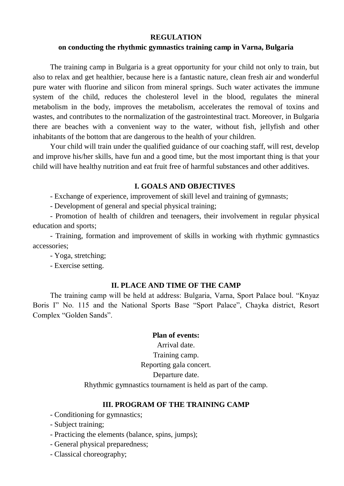### **REGULATION**

#### **on conducting the rhythmic gymnastics training camp in Varna, Bulgaria**

The training camp in Bulgaria is a great opportunity for your child not only to train, but also to relax and get healthier, because here is a fantastic nature, clean fresh air and wonderful pure water with fluorine and silicon from mineral springs. Such water activates the immune system of the child, reduces the cholesterol level in the blood, regulates the mineral metabolism in the body, improves the metabolism, accelerates the removal of toxins and wastes, and contributes to the normalization of the gastrointestinal tract. Moreover, in Bulgaria there are beaches with a convenient way to the water, without fish, jellyfish and other inhabitants of the bottom that are dangerous to the health of your children.

Your child will train under the qualified guidance of our coaching staff, will rest, develop and improve his/her skills, have fun and a good time, but the most important thing is that your child will have healthy nutrition and eat fruit free of harmful substances and other additives.

#### **I. GOALS AND OBJECTIVES**

- Exchange of experience, improvement of skill level and training of gymnasts;

- Development of general and special physical training;

- Promotion of health of children and teenagers, their involvement in regular physical education and sports;

- Training, formation and improvement of skills in working with rhythmic gymnastics accessories;

- Yoga, stretching;

- Exercise setting.

#### **II. PLACE AND TIME OF THE CAMP**

The training camp will be held at address: Bulgaria, Varna, Sport Palace boul. "Knyaz Boris I" No. 115 and the National Sports Base "Sport Palace", Chayka district, Resort Complex "Golden Sands".

# **Plan of events:**

Arrival date. Training camp. Reporting gala concert. Departure date. Rhythmic gymnastics tournament is held as part of the camp.

## **III. PROGRAM OF THE TRAINING CAMP**

- Conditioning for gymnastics;
- Subject training;
- Practicing the elements (balance, spins, jumps);
- General physical preparedness;
- Classical choreography;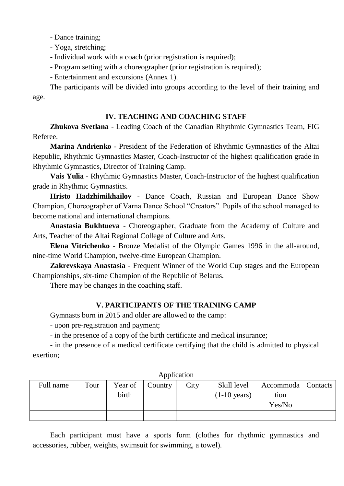- Dance training;

- Yoga, stretching;
- Individual work with a coach (prior registration is required);
- Program setting with a choreographer (prior registration is required);
- Entertainment and excursions (Annex 1).

The participants will be divided into groups according to the level of their training and age.

#### **IV. TEACHING AND COACHING STAFF**

**Zhukova Svetlana** - Leading Coach of the Canadian Rhythmic Gymnastics Team, FIG Referee.

**Marina Andrienko** - President of the Federation of Rhythmic Gymnastics of the Altai Republic, Rhythmic Gymnastics Master, Coach-Instructor of the highest qualification grade in Rhythmic Gymnastics, Director of Training Camp.

**Vais Yulia** - Rhythmic Gymnastics Master, Coach-Instructor of the highest qualification grade in Rhythmic Gymnastics.

**Hristo Hadzhimikhailov** - Dance Coach, Russian and European Dance Show Champion, Choreographer of Varna Dance School "Creators". Pupils of the school managed to become national and international champions.

**Anastasia Bukhtueva** - Choreographer, Graduate from the Academy of Culture and Arts, Teacher of the Altai Regional College of Culture and Arts.

**Elena Vitrichenko** - Bronze Medalist of the Olympic Games 1996 in the all-around, nine-time World Champion, twelve-time European Champion.

**Zakrevskaya Anastasia** - Frequent Winner of the World Cup stages and the European Championships, six-time Champion of the Republic of Belarus.

There may be changes in the coaching staff.

## **V. PARTICIPANTS OF THE TRAINING CAMP**

Gymnasts born in 2015 and older are allowed to the camp:

- upon pre-registration and payment;

- in the presence of a copy of the birth certificate and medical insurance;

- in the presence of a medical certificate certifying that the child is admitted to physical exertion;

| Full name | Tour | Year of | Country | City | Skill level            | Accommoda   Contacts |  |
|-----------|------|---------|---------|------|------------------------|----------------------|--|
|           |      | birth   |         |      | $(1-10 \text{ years})$ | tion                 |  |
|           |      |         |         |      |                        | Yes/No               |  |
|           |      |         |         |      |                        |                      |  |

**Application** 

Each participant must have a sports form (clothes for rhythmic gymnastics and accessories, rubber, weights, swimsuit for swimming, a towel).